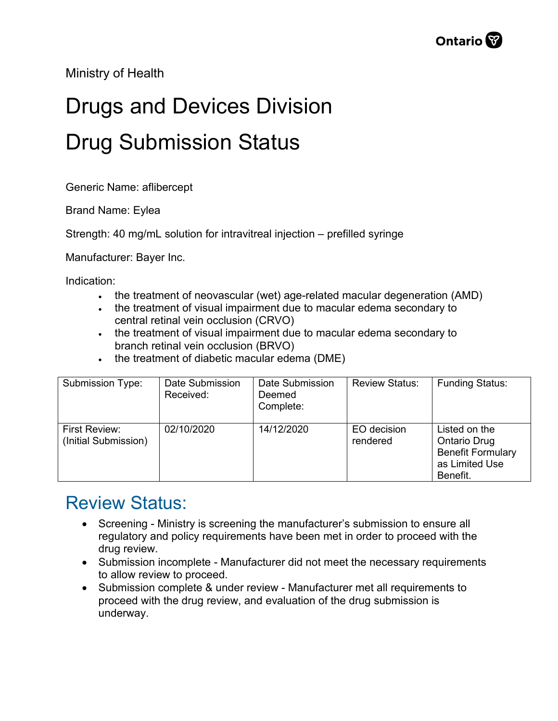Ministry of Health

## Drugs and Devices Division Drug Submission Status

Generic Name: aflibercept

Brand Name: Eylea

Strength: 40 mg/mL solution for intravitreal injection – prefilled syringe

Manufacturer: Bayer Inc.

Indication:

- the treatment of neovascular (wet) age-related macular degeneration (AMD)
- the treatment of visual impairment due to macular edema secondary to central retinal vein occlusion (CRVO)
- the treatment of visual impairment due to macular edema secondary to branch retinal vein occlusion (BRVO)
- the treatment of diabetic macular edema (DME)

| Submission Type:                      | Date Submission<br>Received: | Date Submission<br>Deemed<br>Complete: | <b>Review Status:</b>   | <b>Funding Status:</b>                                                                         |
|---------------------------------------|------------------------------|----------------------------------------|-------------------------|------------------------------------------------------------------------------------------------|
| First Review:<br>(Initial Submission) | 02/10/2020                   | 14/12/2020                             | EO decision<br>rendered | Listed on the<br><b>Ontario Drug</b><br><b>Benefit Formulary</b><br>as Limited Use<br>Benefit. |

## Review Status:

- Screening Ministry is screening the manufacturer's submission to ensure all regulatory and policy requirements have been met in order to proceed with the drug review.
- Submission incomplete Manufacturer did not meet the necessary requirements to allow review to proceed.
- Submission complete & under review Manufacturer met all requirements to proceed with the drug review, and evaluation of the drug submission is underway.